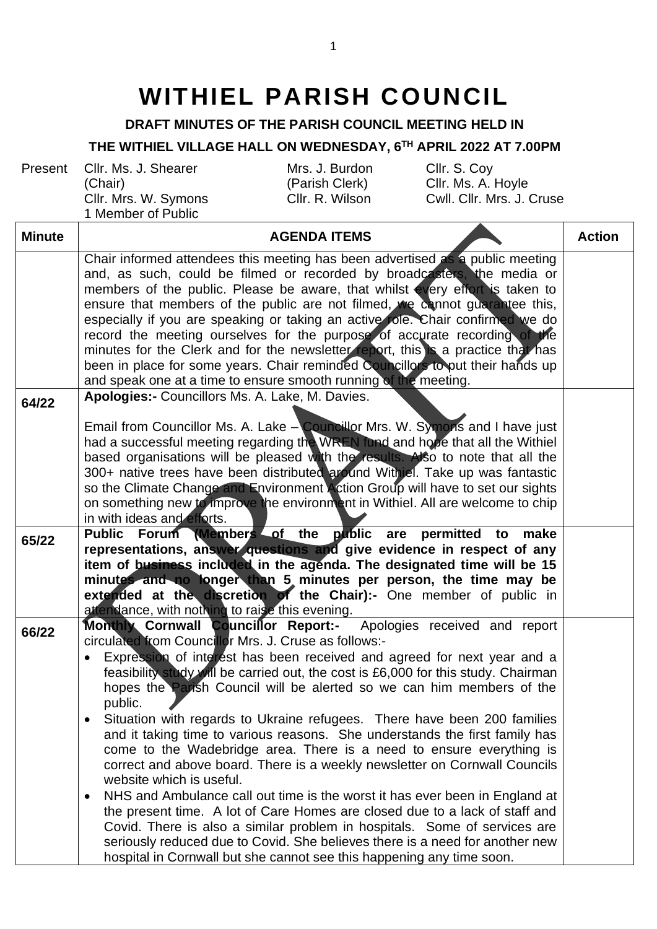## **WITHIEL PARISH COUNCIL**

**DRAFT MINUTES OF THE PARISH COUNCIL MEETING HELD IN**

## **THE WITHIEL VILLAGE HALL ON WEDNESDAY, 6 TH APRIL 2022 AT 7.00PM**

Present Cllr. Ms. J. Shearer (Chair) Cllr. Mrs. W. Symons 1 Member of Public

Mrs. J. Burdon (Parish Clerk)

Cllr. S. Coy Cllr. Ms. A. Hoyle Cwll. Cllr. Mrs. J. Cruse

| <b>Minute</b> | <b>AGENDA ITEMS</b>                                                                                                                                                                                                                                                                                                                                                                                                                                                                                                                                                                                                                                                                                                                                                                                                                                                                                                                                                                                                                                                                                                                            | <b>Action</b> |
|---------------|------------------------------------------------------------------------------------------------------------------------------------------------------------------------------------------------------------------------------------------------------------------------------------------------------------------------------------------------------------------------------------------------------------------------------------------------------------------------------------------------------------------------------------------------------------------------------------------------------------------------------------------------------------------------------------------------------------------------------------------------------------------------------------------------------------------------------------------------------------------------------------------------------------------------------------------------------------------------------------------------------------------------------------------------------------------------------------------------------------------------------------------------|---------------|
|               | Chair informed attendees this meeting has been advertised as a public meeting<br>and, as such, could be filmed or recorded by broadcasters, the media or<br>members of the public. Please be aware, that whilst every effort is taken to<br>ensure that members of the public are not filmed, we cannot quarantee this,<br>especially if you are speaking or taking an active role. Chair confirmed we do<br>record the meeting ourselves for the purpose of accurate recording of the<br>minutes for the Clerk and for the newsletter report, this is a practice that has<br>been in place for some years. Chair reminded Councillors to put their hands up<br>and speak one at a time to ensure smooth running of the meeting.                                                                                                                                                                                                                                                                                                                                                                                                               |               |
| 64/22         | Apologies:- Councillors Ms. A. Lake, M. Davies.                                                                                                                                                                                                                                                                                                                                                                                                                                                                                                                                                                                                                                                                                                                                                                                                                                                                                                                                                                                                                                                                                                |               |
|               | Email from Councillor Ms. A. Lake - Councillor Mrs. W. Symons and I have just<br>had a successful meeting regarding the WREN fund and hope that all the Withiel<br>based organisations will be pleased with the results. Also to note that all the<br>300+ native trees have been distributed around Withjel. Take up was fantastic<br>so the Climate Change and Environment Action Group will have to set our sights<br>on something new to improve the environment in Withiel. All are welcome to chip<br>in with ideas and efforts.                                                                                                                                                                                                                                                                                                                                                                                                                                                                                                                                                                                                         |               |
| 65/22         | Public Forum (Members of the public are permitted to make<br>representations, answer questions and give evidence in respect of any<br>item of business included in the agenda. The designated time will be 15<br>minutes and no longer than 5 minutes per person, the time may be<br>extended at the discretion of the Chair):- One member of public in<br>attendance, with nothing to raise this evening.                                                                                                                                                                                                                                                                                                                                                                                                                                                                                                                                                                                                                                                                                                                                     |               |
| 66/22         | Monthly Cornwall Councillor Report:- Apologies received and report<br>circulated from Councillor Mrs. J. Cruse as follows:-<br>Expression of interest has been received and agreed for next year and a<br>feasibility study will be carried out, the cost is £6,000 for this study. Chairman<br>hopes the Parish Council will be alerted so we can him members of the<br>public.<br>Situation with regards to Ukraine refugees. There have been 200 families<br>and it taking time to various reasons. She understands the first family has<br>come to the Wadebridge area. There is a need to ensure everything is<br>correct and above board. There is a weekly newsletter on Cornwall Councils<br>website which is useful.<br>NHS and Ambulance call out time is the worst it has ever been in England at<br>$\bullet$<br>the present time. A lot of Care Homes are closed due to a lack of staff and<br>Covid. There is also a similar problem in hospitals. Some of services are<br>seriously reduced due to Covid. She believes there is a need for another new<br>hospital in Cornwall but she cannot see this happening any time soon. |               |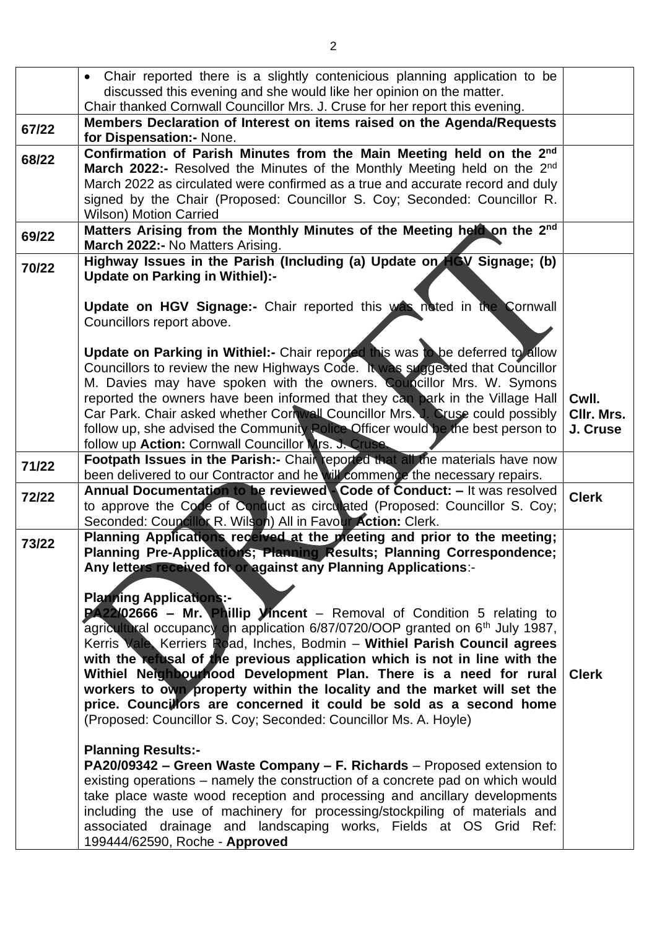|       | Chair reported there is a slightly contenicious planning application to be                                                                                                                                                                                                                                                                                                                                                                                                                                                                                                                                                                                                                                                                                                                                                                                                                                      |                        |
|-------|-----------------------------------------------------------------------------------------------------------------------------------------------------------------------------------------------------------------------------------------------------------------------------------------------------------------------------------------------------------------------------------------------------------------------------------------------------------------------------------------------------------------------------------------------------------------------------------------------------------------------------------------------------------------------------------------------------------------------------------------------------------------------------------------------------------------------------------------------------------------------------------------------------------------|------------------------|
|       | discussed this evening and she would like her opinion on the matter.<br>Chair thanked Cornwall Councillor Mrs. J. Cruse for her report this evening.                                                                                                                                                                                                                                                                                                                                                                                                                                                                                                                                                                                                                                                                                                                                                            |                        |
| 67/22 | Members Declaration of Interest on items raised on the Agenda/Requests                                                                                                                                                                                                                                                                                                                                                                                                                                                                                                                                                                                                                                                                                                                                                                                                                                          |                        |
|       | for Dispensation:- None.                                                                                                                                                                                                                                                                                                                                                                                                                                                                                                                                                                                                                                                                                                                                                                                                                                                                                        |                        |
| 68/22 | Confirmation of Parish Minutes from the Main Meeting held on the 2nd<br>March 2022:- Resolved the Minutes of the Monthly Meeting held on the 2 <sup>nd</sup><br>March 2022 as circulated were confirmed as a true and accurate record and duly<br>signed by the Chair (Proposed: Councillor S. Coy; Seconded: Councillor R.                                                                                                                                                                                                                                                                                                                                                                                                                                                                                                                                                                                     |                        |
|       | <b>Wilson) Motion Carried</b><br>Matters Arising from the Monthly Minutes of the Meeting held on the 2nd                                                                                                                                                                                                                                                                                                                                                                                                                                                                                                                                                                                                                                                                                                                                                                                                        |                        |
| 69/22 | March 2022:- No Matters Arising.                                                                                                                                                                                                                                                                                                                                                                                                                                                                                                                                                                                                                                                                                                                                                                                                                                                                                |                        |
| 70/22 | Highway Issues in the Parish (Including (a) Update on HGV Signage; (b)<br><b>Update on Parking in Withiel):-</b>                                                                                                                                                                                                                                                                                                                                                                                                                                                                                                                                                                                                                                                                                                                                                                                                |                        |
|       | Update on HGV Signage:- Chair reported this was noted in the Cornwall<br>Councillors report above.                                                                                                                                                                                                                                                                                                                                                                                                                                                                                                                                                                                                                                                                                                                                                                                                              |                        |
|       | Update on Parking in Withiel:- Chair reported this was to be deferred to allow<br>Councillors to review the new Highways Code. It was suggested that Councillor<br>M. Davies may have spoken with the owners. Councillor Mrs. W. Symons<br>reported the owners have been informed that they can park in the Village Hall                                                                                                                                                                                                                                                                                                                                                                                                                                                                                                                                                                                        | Cwll.                  |
|       | Car Park. Chair asked whether Cornwall Councillor Mrs. J. Cruse could possibly<br>follow up, she advised the Community Police Officer would be the best person to<br>follow up Action: Cornwall Councillor Mrs. J. Cruse.                                                                                                                                                                                                                                                                                                                                                                                                                                                                                                                                                                                                                                                                                       | CIIr. Mrs.<br>J. Cruse |
| 71/22 | Footpath Issues in the Parish:- Chair reported that all the materials have now<br>been delivered to our Contractor and he will commence the necessary repairs.                                                                                                                                                                                                                                                                                                                                                                                                                                                                                                                                                                                                                                                                                                                                                  |                        |
| 72/22 | Annual Documentation to be reviewed Code of Conduct: - It was resolved<br>to approve the Code of Conduct as circulated (Proposed: Councillor S. Coy;<br>Seconded: Councillor R. Wilson) All in Favour Action: Clerk.                                                                                                                                                                                                                                                                                                                                                                                                                                                                                                                                                                                                                                                                                            | <b>Clerk</b>           |
| 73/22 | Planning Applications received at the pleeting and prior to the meeting;<br>Planning Pre-Applications; Planning Results; Planning Correspondence;<br>Any letters received for or against any Planning Applications:-<br><b>Planning Applications:-</b><br>PA22/02666 - Mr. Phillip Vincent - Removal of Condition 5 relating to<br>agricultural occupancy on application 6/87/0720/OOP granted on 6 <sup>th</sup> July 1987,<br>Kerris Vale, Kerriers Road, Inches, Bodmin - Withiel Parish Council agrees<br>with the refusal of the previous application which is not in line with the<br>Withiel Neighbourhood Development Plan. There is a need for rural<br>workers to own property within the locality and the market will set the<br>price. Councillors are concerned it could be sold as a second home<br>(Proposed: Councillor S. Coy; Seconded: Councillor Ms. A. Hoyle)<br><b>Planning Results:-</b> | <b>Clerk</b>           |
|       | PA20/09342 – Green Waste Company – F. Richards – Proposed extension to<br>existing operations – namely the construction of a concrete pad on which would<br>take place waste wood reception and processing and ancillary developments<br>including the use of machinery for processing/stockpiling of materials and<br>associated drainage and landscaping works, Fields at OS Grid Ref:<br>199444/62590, Roche - Approved                                                                                                                                                                                                                                                                                                                                                                                                                                                                                      |                        |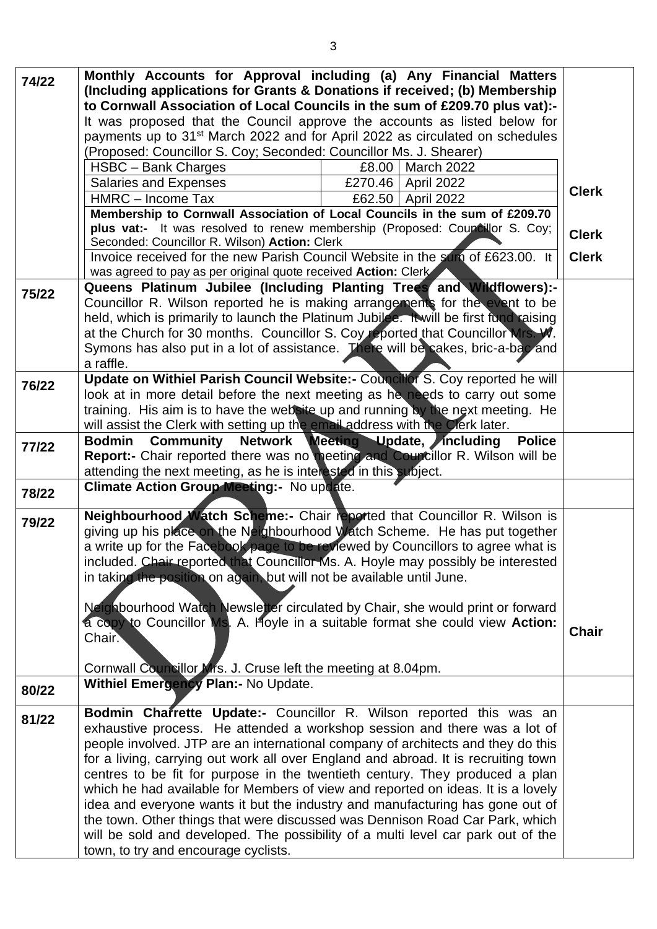| 74/22 | Monthly Accounts for Approval including (a) Any Financial Matters<br>(Including applications for Grants & Donations if received; (b) Membership |              |
|-------|-------------------------------------------------------------------------------------------------------------------------------------------------|--------------|
|       | to Cornwall Association of Local Councils in the sum of £209.70 plus vat):-                                                                     |              |
|       | It was proposed that the Council approve the accounts as listed below for                                                                       |              |
|       | payments up to 31 <sup>st</sup> March 2022 and for April 2022 as circulated on schedules                                                        |              |
|       | (Proposed: Councillor S. Coy; Seconded: Councillor Ms. J. Shearer)                                                                              |              |
|       | HSBC - Bank Charges<br>£8.00<br><b>March 2022</b>                                                                                               |              |
|       | <b>Salaries and Expenses</b><br>£270.46   April 2022                                                                                            | <b>Clerk</b> |
|       | HMRC - Income Tax<br>£62.50   April 2022                                                                                                        |              |
|       | Membership to Cornwall Association of Local Councils in the sum of £209.70                                                                      |              |
|       | plus vat:- It was resolved to renew membership (Proposed: Councillor S. Coy;                                                                    | <b>Clerk</b> |
|       | Seconded: Councillor R. Wilson) Action: Clerk                                                                                                   | <b>Clerk</b> |
|       | Invoice received for the new Parish Council Website in the sum of £623.00. It                                                                   |              |
|       | was agreed to pay as per original quote received Action: Clerk<br>Queens Platinum Jubilee (Including Planting Trees and Wildflowers):-          |              |
| 75/22 | Councillor R. Wilson reported he is making arrangements for the event to be                                                                     |              |
|       | held, which is primarily to launch the Platinum Jubiles. It will be first fund raising                                                          |              |
|       | at the Church for 30 months. Councillor S. Coy reported that Councillor Mrs. W.                                                                 |              |
|       | Symons has also put in a lot of assistance. There will be cakes, bric-a-bac and                                                                 |              |
|       | a raffle.                                                                                                                                       |              |
| 76/22 | Update on Withiel Parish Council Website: - Councillor S. Coy reported he will                                                                  |              |
|       | look at in more detail before the next meeting as he needs to carry out some                                                                    |              |
|       | training. His aim is to have the website up and running by the next meeting. He                                                                 |              |
|       | will assist the Clerk with setting up the email address with the Clerk later.                                                                   |              |
| 77/22 | Bodmin Community Network Meeting Update, including<br><b>Police</b>                                                                             |              |
|       | Report:- Chair reported there was no meeting and Councillor R. Wilson will be                                                                   |              |
|       | attending the next meeting, as he is interested in this subject.                                                                                |              |
| 78/22 | Climate Action Group Meeting: - No update.                                                                                                      |              |
| 79/22 | <b>Neighbourhood Watch Scheme:-</b> Chair reported that Councillor R. Wilson is                                                                 |              |
|       | giving up his place on the Neighbourhood Watch Scheme. He has put together                                                                      |              |
|       | a write up for the Facebook page to be reviewed by Councillors to agree what is                                                                 |              |
|       | included. Chair reported that Councillor Ms. A. Hoyle may possibly be interested                                                                |              |
|       | in taking the position on again, but will not be available until June.                                                                          |              |
|       |                                                                                                                                                 |              |
|       | Neighbourhood Watch Newsletter circulated by Chair, she would print or forward                                                                  |              |
|       | a copy to Councillor Ms. A. Hoyle in a suitable format she could view Action:<br>Chair.                                                         | <b>Chair</b> |
|       |                                                                                                                                                 |              |
|       | Cornwall Councillor Mrs. J. Cruse left the meeting at 8.04pm.                                                                                   |              |
|       | <b>Withiel Emergency Plan:- No Update.</b>                                                                                                      |              |
| 80/22 |                                                                                                                                                 |              |
| 81/22 | Bodmin Charrette Update:- Councillor R. Wilson reported this was an                                                                             |              |
|       | exhaustive process. He attended a workshop session and there was a lot of                                                                       |              |
|       | people involved. JTP are an international company of architects and they do this                                                                |              |
|       | for a living, carrying out work all over England and abroad. It is recruiting town                                                              |              |
|       | centres to be fit for purpose in the twentieth century. They produced a plan                                                                    |              |
|       | which he had available for Members of view and reported on ideas. It is a lovely                                                                |              |
|       | idea and everyone wants it but the industry and manufacturing has gone out of                                                                   |              |
|       | the town. Other things that were discussed was Dennison Road Car Park, which                                                                    |              |
|       | will be sold and developed. The possibility of a multi level car park out of the                                                                |              |
|       | town, to try and encourage cyclists.                                                                                                            |              |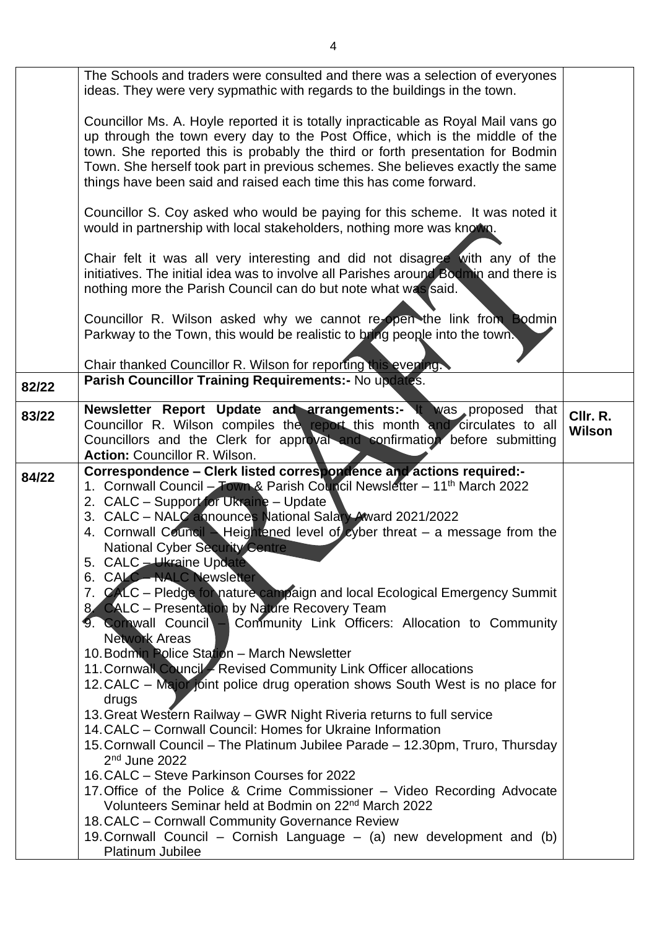|       | The Schools and traders were consulted and there was a selection of everyones<br>ideas. They were very sypmathic with regards to the buildings in the town.                                                                                                                                                                                                                                                                                                                                                                                                                                                                                                                                                                                                                                                                                                                                                                                                                                                                                                                                                                                                                                                                                                                                                                                                                                                                                                      |                    |
|-------|------------------------------------------------------------------------------------------------------------------------------------------------------------------------------------------------------------------------------------------------------------------------------------------------------------------------------------------------------------------------------------------------------------------------------------------------------------------------------------------------------------------------------------------------------------------------------------------------------------------------------------------------------------------------------------------------------------------------------------------------------------------------------------------------------------------------------------------------------------------------------------------------------------------------------------------------------------------------------------------------------------------------------------------------------------------------------------------------------------------------------------------------------------------------------------------------------------------------------------------------------------------------------------------------------------------------------------------------------------------------------------------------------------------------------------------------------------------|--------------------|
|       | Councillor Ms. A. Hoyle reported it is totally inpracticable as Royal Mail vans go<br>up through the town every day to the Post Office, which is the middle of the<br>town. She reported this is probably the third or forth presentation for Bodmin<br>Town. She herself took part in previous schemes. She believes exactly the same<br>things have been said and raised each time this has come forward.                                                                                                                                                                                                                                                                                                                                                                                                                                                                                                                                                                                                                                                                                                                                                                                                                                                                                                                                                                                                                                                      |                    |
|       | Councillor S. Coy asked who would be paying for this scheme. It was noted it<br>would in partnership with local stakeholders, nothing more was known.                                                                                                                                                                                                                                                                                                                                                                                                                                                                                                                                                                                                                                                                                                                                                                                                                                                                                                                                                                                                                                                                                                                                                                                                                                                                                                            |                    |
|       | Chair felt it was all very interesting and did not disagree with any of the<br>initiatives. The initial idea was to involve all Parishes around Bodmin and there is<br>nothing more the Parish Council can do but note what was said.                                                                                                                                                                                                                                                                                                                                                                                                                                                                                                                                                                                                                                                                                                                                                                                                                                                                                                                                                                                                                                                                                                                                                                                                                            |                    |
|       | Councillor R. Wilson asked why we cannot re-open the link from Bodmin<br>Parkway to the Town, this would be realistic to bring people into the town.                                                                                                                                                                                                                                                                                                                                                                                                                                                                                                                                                                                                                                                                                                                                                                                                                                                                                                                                                                                                                                                                                                                                                                                                                                                                                                             |                    |
| 82/22 | Chair thanked Councillor R. Wilson for reporting this evening.<br>Parish Councillor Training Requirements: - No updates.                                                                                                                                                                                                                                                                                                                                                                                                                                                                                                                                                                                                                                                                                                                                                                                                                                                                                                                                                                                                                                                                                                                                                                                                                                                                                                                                         |                    |
|       |                                                                                                                                                                                                                                                                                                                                                                                                                                                                                                                                                                                                                                                                                                                                                                                                                                                                                                                                                                                                                                                                                                                                                                                                                                                                                                                                                                                                                                                                  |                    |
| 83/22 | Newsletter Report Update and arrangements:- It was proposed that<br>Councillor R. Wilson compiles the report this month and circulates to all<br>Councillors and the Clerk for approval and confirmation before submitting<br><b>Action: Councillor R. Wilson.</b>                                                                                                                                                                                                                                                                                                                                                                                                                                                                                                                                                                                                                                                                                                                                                                                                                                                                                                                                                                                                                                                                                                                                                                                               | CIIr. R.<br>Wilson |
| 84/22 | Correspondence - Clerk listed correspondence and actions required:-<br>1. Cornwall Council - Town & Parish Council Newsletter - 11 <sup>th</sup> March 2022<br>2. CALC - Support for Ukraine - Update<br>3. CALC – NALC announces National Salary Award 2021/2022<br>4. Cornwall Council - Heightened level of cyber threat - a message from the<br>National Cyber Security Centre<br>5. CALC - Ukraine Update<br>6. CALC-NALC Newsletter<br>7. CALC - Pledge for nature campaign and local Ecological Emergency Summit<br>8. CALC - Presentation by Nature Recovery Team<br>9. Cornwall Council - Community Link Officers: Allocation to Community<br><b>Network Areas</b><br>10. Bodmin Police Station - March Newsletter<br>11. Cornwall Council - Revised Community Link Officer allocations<br>12. CALC - Major joint police drug operation shows South West is no place for<br>drugs<br>13. Great Western Railway – GWR Night Riveria returns to full service<br>14. CALC – Cornwall Council: Homes for Ukraine Information<br>15. Cornwall Council – The Platinum Jubilee Parade – 12.30pm, Truro, Thursday<br>$2nd$ June 2022<br>16. CALC - Steve Parkinson Courses for 2022<br>17. Office of the Police & Crime Commissioner - Video Recording Advocate<br>Volunteers Seminar held at Bodmin on 22 <sup>nd</sup> March 2022<br>18. CALC - Cornwall Community Governance Review<br>19. Cornwall Council - Cornish Language - (a) new development and (b) |                    |
|       | Platinum Jubilee                                                                                                                                                                                                                                                                                                                                                                                                                                                                                                                                                                                                                                                                                                                                                                                                                                                                                                                                                                                                                                                                                                                                                                                                                                                                                                                                                                                                                                                 |                    |